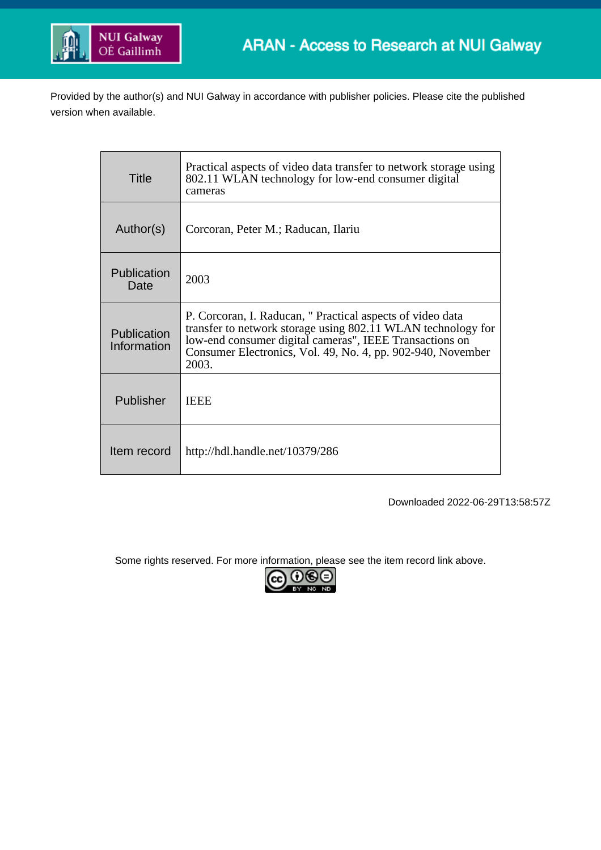

Provided by the author(s) and NUI Galway in accordance with publisher policies. Please cite the published version when available.

| Title                      | Practical aspects of video data transfer to network storage using<br>802.11 WLAN technology for low-end consumer digital<br>cameras                                                                                                                           |
|----------------------------|---------------------------------------------------------------------------------------------------------------------------------------------------------------------------------------------------------------------------------------------------------------|
| Author(s)                  | Corcoran, Peter M.; Raducan, Ilariu                                                                                                                                                                                                                           |
| Publication<br>Date        | 2003                                                                                                                                                                                                                                                          |
| Publication<br>Information | P. Corcoran, I. Raducan, " Practical aspects of video data<br>transfer to network storage using 802.11 WLAN technology for<br>low-end consumer digital cameras", IEEE Transactions on<br>Consumer Electronics, Vol. 49, No. 4, pp. 902-940, November<br>2003. |
| <b>Publisher</b>           | <b>IEEE</b>                                                                                                                                                                                                                                                   |
| Item record                | http://hdl.handle.net/10379/286                                                                                                                                                                                                                               |

Downloaded 2022-06-29T13:58:57Z

Some rights reserved. For more information, please see the item record link above.

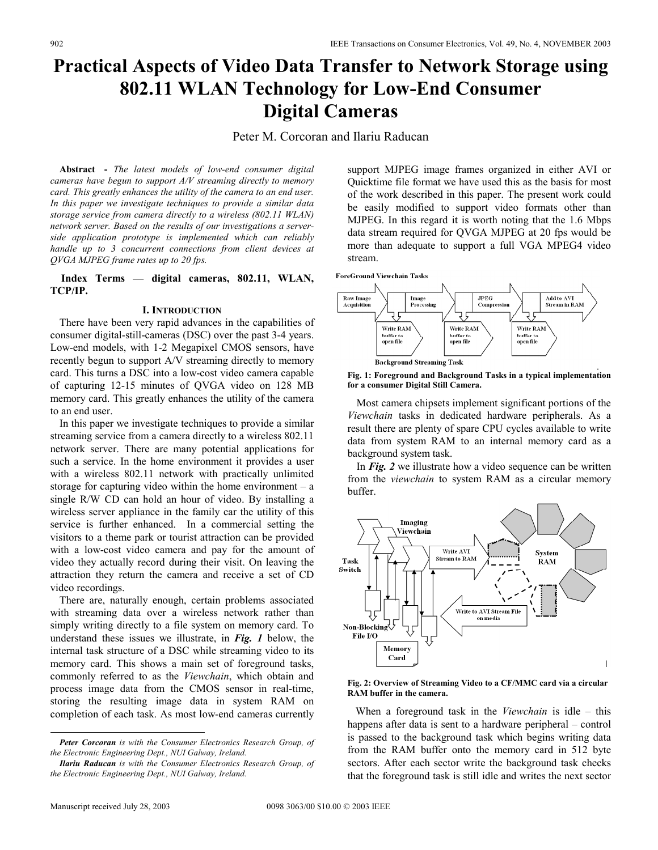# **Practical Aspects of Video Data Transfer to Network Storage using 802.11 WLAN Technology for Low-End Consumer Digital Cameras**

Peter M. Corcoran and Ilariu Raducan

**Abstract<sup>1</sup> -** *The latest models of low-end consumer digital cameras have begun to support A/V streaming directly to memory card. This greatly enhances the utility of the camera to an end user. In this paper we investigate techniques to provide a similar data storage service from camera directly to a wireless (802.11 WLAN) network server. Based on the results of our investigations a serverside application prototype is implemented which can reliably handle up to 3 concurrent connections from client devices at QVGA MJPEG frame rates up to 20 fps.*

# **Index Terms — digital cameras, 802.11, WLAN, TCP/IP.**

## **I. INTRODUCTION**

There have been very rapid advances in the capabilities of consumer digital-still-cameras (DSC) over the past 3-4 years. Low-end models, with 1-2 Megapixel CMOS sensors, have recently begun to support A/V streaming directly to memory card. This turns a DSC into a low-cost video camera capable of capturing 12-15 minutes of QVGA video on 128 MB memory card. This greatly enhances the utility of the camera to an end user.

In this paper we investigate techniques to provide a similar streaming service from a camera directly to a wireless 802.11 network server. There are many potential applications for such a service. In the home environment it provides a user with a wireless 802.11 network with practically unlimited storage for capturing video within the home environment – a single R/W CD can hold an hour of video. By installing a wireless server appliance in the family car the utility of this service is further enhanced. In a commercial setting the visitors to a theme park or tourist attraction can be provided with a low-cost video camera and pay for the amount of video they actually record during their visit. On leaving the attraction they return the camera and receive a set of CD video recordings.

There are, naturally enough, certain problems associated with streaming data over a wireless network rather than simply writing directly to a file system on memory card. To understand these issues we illustrate, in *Fig. 1* below, the internal task structure of a DSC while streaming video to its memory card. This shows a main set of foreground tasks, commonly referred to as the *Viewchain*, which obtain and process image data from the CMOS sensor in real-time, storing the resulting image data in system RAM on completion of each task. As most low-end cameras currently

*Peter Corcoran is with the Consumer Electronics Research Group, of the Electronic Engineering Dept., NUI Galway, Ireland.* 

*Ilariu Raducan is with the Consumer Electronics Research Group, of the Electronic Engineering Dept., NUI Galway, Ireland.* 

support MJPEG image frames organized in either AVI or Quicktime file format we have used this as the basis for most of the work described in this paper. The present work could be easily modified to support video formats other than MJPEG. In this regard it is worth noting that the 1.6 Mbps data stream required for QVGA MJPEG at 20 fps would be more than adequate to support a full VGA MPEG4 video stream.







Most camera chipsets implement significant portions of the *Viewchain* tasks in dedicated hardware peripherals. As a result there are plenty of spare CPU cycles available to write data from system RAM to an internal memory card as a background system task.

In *Fig. 2* we illustrate how a video sequence can be written from the *viewchain* to system RAM as a circular memory buffer.



#### **Fig. 2: Overview of Streaming Video to a CF/MMC card via a circular RAM buffer in the camera.**

 When a foreground task in the *Viewchain* is idle – this happens after data is sent to a hardware peripheral – control is passed to the background task which begins writing data from the RAM buffer onto the memory card in 512 byte sectors. After each sector write the background task checks that the foreground task is still idle and writes the next sector

-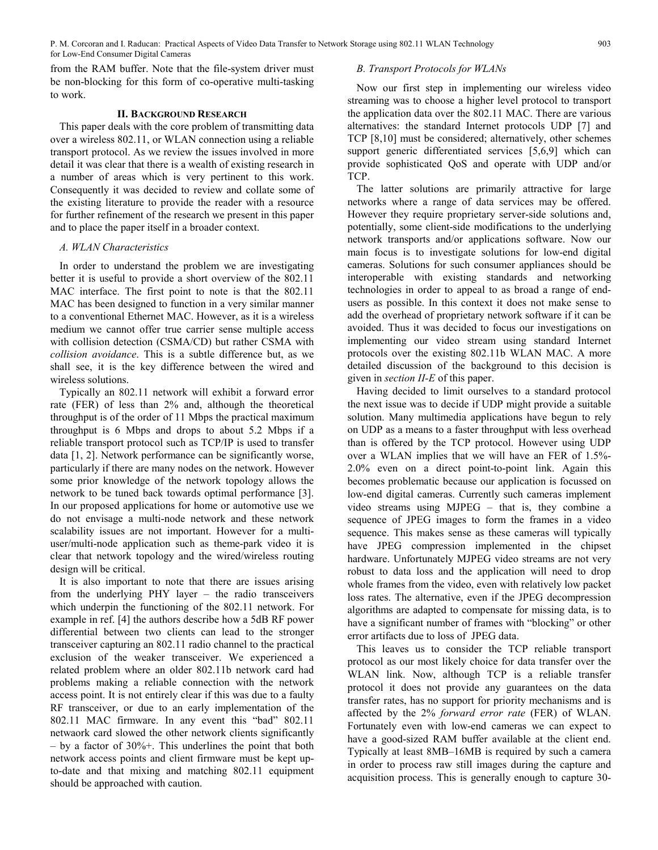from the RAM buffer. Note that the file-system driver must be non-blocking for this form of co-operative multi-tasking to work.

# **II. BACKGROUND RESEARCH**

This paper deals with the core problem of transmitting data over a wireless 802.11, or WLAN connection using a reliable transport protocol. As we review the issues involved in more detail it was clear that there is a wealth of existing research in a number of areas which is very pertinent to this work. Consequently it was decided to review and collate some of the existing literature to provide the reader with a resource for further refinement of the research we present in this paper and to place the paper itself in a broader context.

## *A. WLAN Characteristics*

In order to understand the problem we are investigating better it is useful to provide a short overview of the 802.11 MAC interface. The first point to note is that the 802.11 MAC has been designed to function in a very similar manner to a conventional Ethernet MAC. However, as it is a wireless medium we cannot offer true carrier sense multiple access with collision detection (CSMA/CD) but rather CSMA with *collision avoidance*. This is a subtle difference but, as we shall see, it is the key difference between the wired and wireless solutions.

Typically an 802.11 network will exhibit a forward error rate (FER) of less than 2% and, although the theoretical throughput is of the order of 11 Mbps the practical maximum throughput is 6 Mbps and drops to about 5.2 Mbps if a reliable transport protocol such as TCP/IP is used to transfer data [1, 2]. Network performance can be significantly worse, particularly if there are many nodes on the network. However some prior knowledge of the network topology allows the network to be tuned back towards optimal performance [3]. In our proposed applications for home or automotive use we do not envisage a multi-node network and these network scalability issues are not important. However for a multiuser/multi-node application such as theme-park video it is clear that network topology and the wired/wireless routing design will be critical.

It is also important to note that there are issues arising from the underlying PHY layer – the radio transceivers which underpin the functioning of the 802.11 network. For example in ref. [4] the authors describe how a 5dB RF power differential between two clients can lead to the stronger transceiver capturing an 802.11 radio channel to the practical exclusion of the weaker transceiver. We experienced a related problem where an older 802.11b network card had problems making a reliable connection with the network access point. It is not entirely clear if this was due to a faulty RF transceiver, or due to an early implementation of the 802.11 MAC firmware. In any event this "bad" 802.11 netwaork card slowed the other network clients significantly – by a factor of 30%+. This underlines the point that both network access points and client firmware must be kept upto-date and that mixing and matching 802.11 equipment should be approached with caution.

# *B. Transport Protocols for WLANs*

Now our first step in implementing our wireless video streaming was to choose a higher level protocol to transport the application data over the 802.11 MAC. There are various alternatives: the standard Internet protocols UDP [7] and TCP [8,10] must be considered; alternatively, other schemes support generic differentiated services [5,6,9] which can provide sophisticated QoS and operate with UDP and/or TCP.

The latter solutions are primarily attractive for large networks where a range of data services may be offered. However they require proprietary server-side solutions and, potentially, some client-side modifications to the underlying network transports and/or applications software. Now our main focus is to investigate solutions for low-end digital cameras. Solutions for such consumer appliances should be interoperable with existing standards and networking technologies in order to appeal to as broad a range of endusers as possible. In this context it does not make sense to add the overhead of proprietary network software if it can be avoided. Thus it was decided to focus our investigations on implementing our video stream using standard Internet protocols over the existing 802.11b WLAN MAC. A more detailed discussion of the background to this decision is given in *section II-E* of this paper.

Having decided to limit ourselves to a standard protocol the next issue was to decide if UDP might provide a suitable solution. Many multimedia applications have begun to rely on UDP as a means to a faster throughput with less overhead than is offered by the TCP protocol. However using UDP over a WLAN implies that we will have an FER of 1.5%- 2.0% even on a direct point-to-point link. Again this becomes problematic because our application is focussed on low-end digital cameras. Currently such cameras implement video streams using MJPEG – that is, they combine a sequence of JPEG images to form the frames in a video sequence. This makes sense as these cameras will typically have JPEG compression implemented in the chipset hardware. Unfortunately MJPEG video streams are not very robust to data loss and the application will need to drop whole frames from the video, even with relatively low packet loss rates. The alternative, even if the JPEG decompression algorithms are adapted to compensate for missing data, is to have a significant number of frames with "blocking" or other error artifacts due to loss of JPEG data.

This leaves us to consider the TCP reliable transport protocol as our most likely choice for data transfer over the WLAN link. Now, although TCP is a reliable transfer protocol it does not provide any guarantees on the data transfer rates, has no support for priority mechanisms and is affected by the 2% *forward error rate* (FER) of WLAN. Fortunately even with low-end cameras we can expect to have a good-sized RAM buffer available at the client end. Typically at least 8MB–16MB is required by such a camera in order to process raw still images during the capture and acquisition process. This is generally enough to capture 30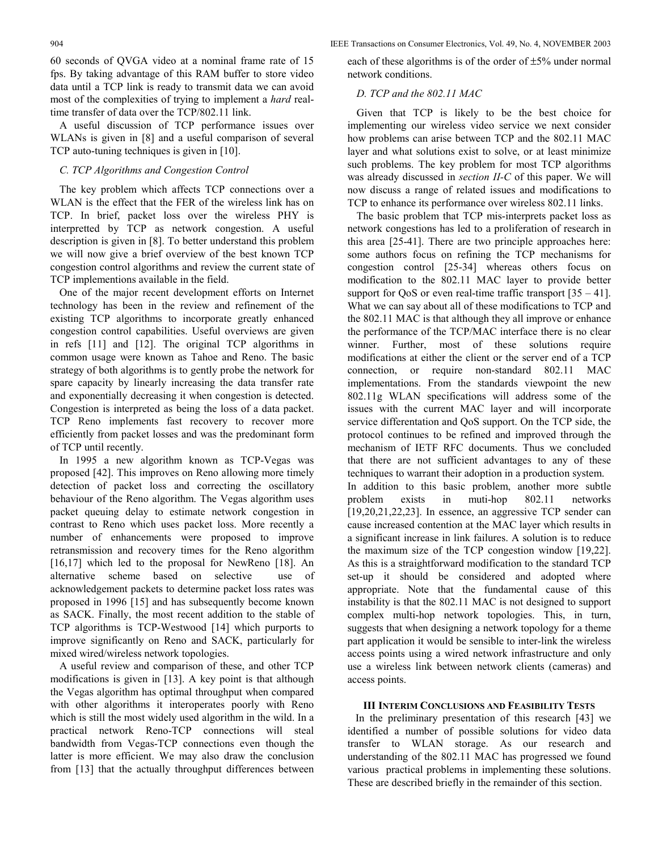904 IEEE Transactions on Consumer Electronics, Vol. 49, No. 4, NOVEMBER 2003

60 seconds of QVGA video at a nominal frame rate of 15 fps. By taking advantage of this RAM buffer to store video data until a TCP link is ready to transmit data we can avoid most of the complexities of trying to implement a *hard* realtime transfer of data over the TCP/802.11 link.

A useful discussion of TCP performance issues over WLANs is given in [8] and a useful comparison of several TCP auto-tuning techniques is given in [10].

# *C. TCP Algorithms and Congestion Control*

The key problem which affects TCP connections over a WLAN is the effect that the FER of the wireless link has on TCP. In brief, packet loss over the wireless PHY is interpretted by TCP as network congestion. A useful description is given in [8]. To better understand this problem we will now give a brief overview of the best known TCP congestion control algorithms and review the current state of TCP implementions available in the field.

One of the major recent development efforts on Internet technology has been in the review and refinement of the existing TCP algorithms to incorporate greatly enhanced congestion control capabilities. Useful overviews are given in refs [11] and [12]. The original TCP algorithms in common usage were known as Tahoe and Reno. The basic strategy of both algorithms is to gently probe the network for spare capacity by linearly increasing the data transfer rate and exponentially decreasing it when congestion is detected. Congestion is interpreted as being the loss of a data packet. TCP Reno implements fast recovery to recover more efficiently from packet losses and was the predominant form of TCP until recently.

In 1995 a new algorithm known as TCP-Vegas was proposed [42]. This improves on Reno allowing more timely detection of packet loss and correcting the oscillatory behaviour of the Reno algorithm. The Vegas algorithm uses packet queuing delay to estimate network congestion in contrast to Reno which uses packet loss. More recently a number of enhancements were proposed to improve retransmission and recovery times for the Reno algorithm [16,17] which led to the proposal for NewReno [18]. An alternative scheme based on selective use of acknowledgement packets to determine packet loss rates was proposed in 1996 [15] and has subsequently become known as SACK. Finally, the most recent addition to the stable of TCP algorithms is TCP-Westwood [14] which purports to improve significantly on Reno and SACK, particularly for mixed wired/wireless network topologies.

A useful review and comparison of these, and other TCP modifications is given in [13]. A key point is that although the Vegas algorithm has optimal throughput when compared with other algorithms it interoperates poorly with Reno which is still the most widely used algorithm in the wild. In a practical network Reno-TCP connections will steal bandwidth from Vegas-TCP connections even though the latter is more efficient. We may also draw the conclusion from [13] that the actually throughput differences between each of these algorithms is of the order of ±5% under normal network conditions.

# *D. TCP and the 802.11 MAC*

Given that TCP is likely to be the best choice for implementing our wireless video service we next consider how problems can arise between TCP and the 802.11 MAC layer and what solutions exist to solve, or at least minimize such problems. The key problem for most TCP algorithms was already discussed in *section II-C* of this paper. We will now discuss a range of related issues and modifications to TCP to enhance its performance over wireless 802.11 links.

The basic problem that TCP mis-interprets packet loss as network congestions has led to a proliferation of research in this area [25-41]. There are two principle approaches here: some authors focus on refining the TCP mechanisms for congestion control [25-34] whereas others focus on modification to the 802.11 MAC layer to provide better support for QoS or even real-time traffic transport  $[35 - 41]$ . What we can say about all of these modifications to TCP and the 802.11 MAC is that although they all improve or enhance the performance of the TCP/MAC interface there is no clear winner. Further, most of these solutions require modifications at either the client or the server end of a TCP connection, or require non-standard 802.11 MAC implementations. From the standards viewpoint the new 802.11g WLAN specifications will address some of the issues with the current MAC layer and will incorporate service differentation and QoS support. On the TCP side, the protocol continues to be refined and improved through the mechanism of IETF RFC documents. Thus we concluded that there are not sufficient advantages to any of these techniques to warrant their adoption in a production system. In addition to this basic problem, another more subtle problem exists in muti-hop 802.11 networks [19,20,21,22,23]. In essence, an aggressive TCP sender can cause increased contention at the MAC layer which results in a significant increase in link failures. A solution is to reduce the maximum size of the TCP congestion window [19,22]. As this is a straightforward modification to the standard TCP set-up it should be considered and adopted where appropriate. Note that the fundamental cause of this instability is that the 802.11 MAC is not designed to support complex multi-hop network topologies. This, in turn, suggests that when designing a network topology for a theme part application it would be sensible to inter-link the wireless access points using a wired network infrastructure and only use a wireless link between network clients (cameras) and access points.

# **III INTERIM CONCLUSIONS AND FEASIBILITY TESTS**

 In the preliminary presentation of this research [43] we identified a number of possible solutions for video data transfer to WLAN storage. As our research and understanding of the 802.11 MAC has progressed we found various practical problems in implementing these solutions. These are described briefly in the remainder of this section.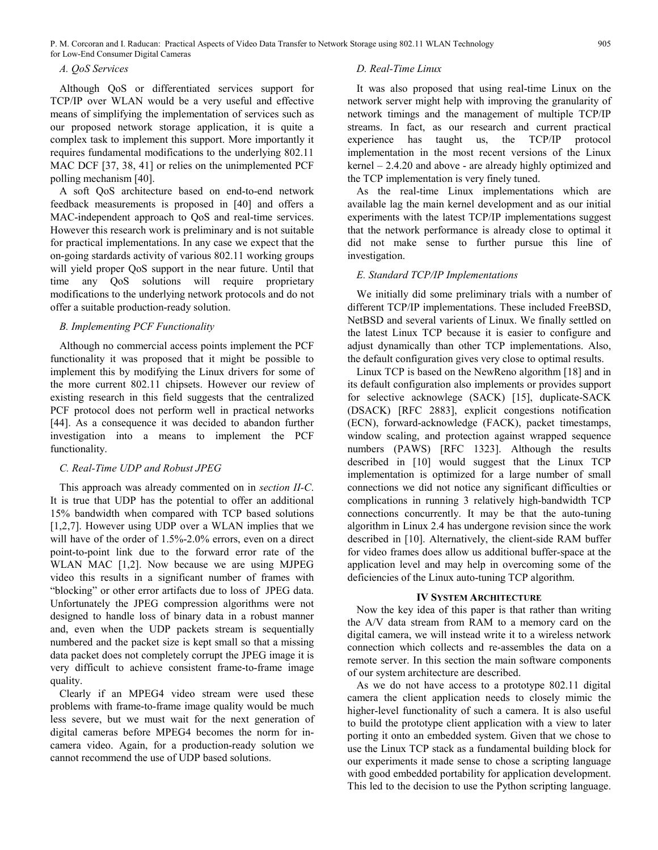# *A. QoS Services*

Although QoS or differentiated services support for TCP/IP over WLAN would be a very useful and effective means of simplifying the implementation of services such as our proposed network storage application, it is quite a complex task to implement this support. More importantly it requires fundamental modifications to the underlying 802.11 MAC DCF [37, 38, 41] or relies on the unimplemented PCF polling mechanism [40].

A soft QoS architecture based on end-to-end network feedback measurements is proposed in [40] and offers a MAC-independent approach to QoS and real-time services. However this research work is preliminary and is not suitable for practical implementations. In any case we expect that the on-going stardards activity of various 802.11 working groups will yield proper QoS support in the near future. Until that time any QoS solutions will require proprietary modifications to the underlying network protocols and do not offer a suitable production-ready solution.

# *B. Implementing PCF Functionality*

Although no commercial access points implement the PCF functionality it was proposed that it might be possible to implement this by modifying the Linux drivers for some of the more current 802.11 chipsets. However our review of existing research in this field suggests that the centralized PCF protocol does not perform well in practical networks [44]. As a consequence it was decided to abandon further investigation into a means to implement the PCF functionality.

## *C. Real-Time UDP and Robust JPEG*

This approach was already commented on in *section II-C*. It is true that UDP has the potential to offer an additional 15% bandwidth when compared with TCP based solutions [1,2,7]. However using UDP over a WLAN implies that we will have of the order of 1.5%-2.0% errors, even on a direct point-to-point link due to the forward error rate of the WLAN MAC [1,2]. Now because we are using MJPEG video this results in a significant number of frames with "blocking" or other error artifacts due to loss of JPEG data. Unfortunately the JPEG compression algorithms were not designed to handle loss of binary data in a robust manner and, even when the UDP packets stream is sequentially numbered and the packet size is kept small so that a missing data packet does not completely corrupt the JPEG image it is very difficult to achieve consistent frame-to-frame image quality.

Clearly if an MPEG4 video stream were used these problems with frame-to-frame image quality would be much less severe, but we must wait for the next generation of digital cameras before MPEG4 becomes the norm for incamera video. Again, for a production-ready solution we cannot recommend the use of UDP based solutions.

#### *D. Real-Time Linux*

It was also proposed that using real-time Linux on the network server might help with improving the granularity of network timings and the management of multiple TCP/IP streams. In fact, as our research and current practical experience has taught us, the TCP/IP protocol implementation in the most recent versions of the Linux kernel – 2.4.20 and above - are already highly optimized and the TCP implementation is very finely tuned.

As the real-time Linux implementations which are available lag the main kernel development and as our initial experiments with the latest TCP/IP implementations suggest that the network performance is already close to optimal it did not make sense to further pursue this line of investigation.

## *E. Standard TCP/IP Implementations*

We initially did some preliminary trials with a number of different TCP/IP implementations. These included FreeBSD, NetBSD and several varients of Linux. We finally settled on the latest Linux TCP because it is easier to configure and adjust dynamically than other TCP implementations. Also, the default configuration gives very close to optimal results.

Linux TCP is based on the NewReno algorithm [18] and in its default configuration also implements or provides support for selective acknowlege (SACK) [15], duplicate-SACK (DSACK) [RFC 2883], explicit congestions notification (ECN), forward-acknowledge (FACK), packet timestamps, window scaling, and protection against wrapped sequence numbers (PAWS) [RFC 1323]. Although the results described in [10] would suggest that the Linux TCP implementation is optimized for a large number of small connections we did not notice any significant difficulties or complications in running 3 relatively high-bandwidth TCP connections concurrently. It may be that the auto-tuning algorithm in Linux 2.4 has undergone revision since the work described in [10]. Alternatively, the client-side RAM buffer for video frames does allow us additional buffer-space at the application level and may help in overcoming some of the deficiencies of the Linux auto-tuning TCP algorithm.

## **IV SYSTEM ARCHITECTURE**

Now the key idea of this paper is that rather than writing the A/V data stream from RAM to a memory card on the digital camera, we will instead write it to a wireless network connection which collects and re-assembles the data on a remote server. In this section the main software components of our system architecture are described.

As we do not have access to a prototype 802.11 digital camera the client application needs to closely mimic the higher-level functionality of such a camera. It is also useful to build the prototype client application with a view to later porting it onto an embedded system. Given that we chose to use the Linux TCP stack as a fundamental building block for our experiments it made sense to chose a scripting language with good embedded portability for application development. This led to the decision to use the Python scripting language.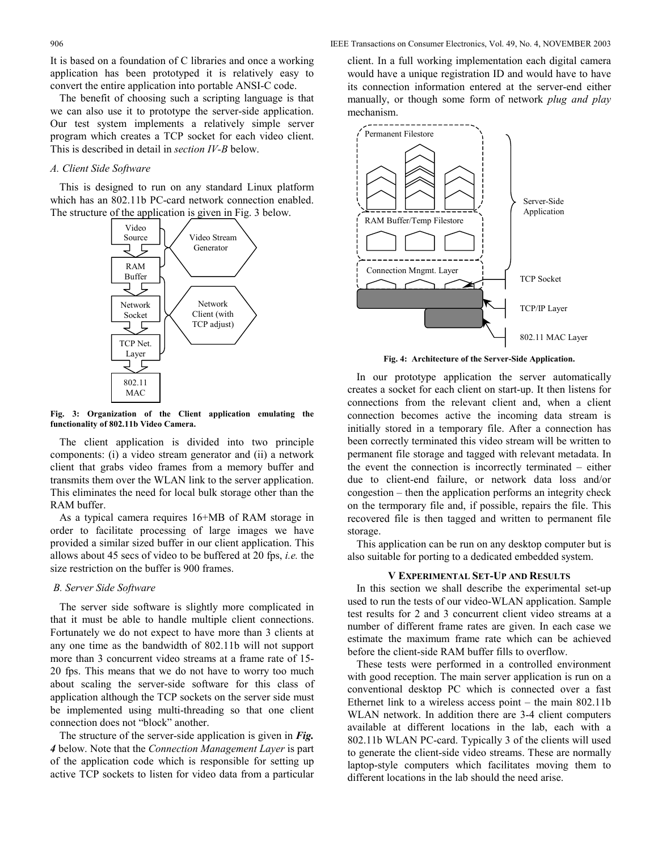It is based on a foundation of C libraries and once a working application has been prototyped it is relatively easy to convert the entire application into portable ANSI-C code.

The benefit of choosing such a scripting language is that we can also use it to prototype the server-side application. Our test system implements a relatively simple server program which creates a TCP socket for each video client. This is described in detail in *section IV-B* below.

# *A. Client Side Software*

This is designed to run on any standard Linux platform which has an 802.11b PC-card network connection enabled. The structure of the application is given in Fig. 3 below.



**Fig. 3: Organization of the Client application emulating the functionality of 802.11b Video Camera.** 

The client application is divided into two principle components: (i) a video stream generator and (ii) a network client that grabs video frames from a memory buffer and transmits them over the WLAN link to the server application. This eliminates the need for local bulk storage other than the RAM buffer.

As a typical camera requires 16+MB of RAM storage in order to facilitate processing of large images we have provided a similar sized buffer in our client application. This allows about 45 secs of video to be buffered at 20 fps, *i.e.* the size restriction on the buffer is 900 frames.

## *B. Server Side Software*

The server side software is slightly more complicated in that it must be able to handle multiple client connections. Fortunately we do not expect to have more than 3 clients at any one time as the bandwidth of 802.11b will not support more than 3 concurrent video streams at a frame rate of 15- 20 fps. This means that we do not have to worry too much about scaling the server-side software for this class of application although the TCP sockets on the server side must be implemented using multi-threading so that one client connection does not "block" another.

The structure of the server-side application is given in *Fig. 4* below. Note that the *Connection Management Layer* is part of the application code which is responsible for setting up active TCP sockets to listen for video data from a particular

client. In a full working implementation each digital camera would have a unique registration ID and would have to have its connection information entered at the server-end either manually, or though some form of network *plug and play*  mechanism.



**Fig. 4: Architecture of the Server-Side Application.** 

In our prototype application the server automatically creates a socket for each client on start-up. It then listens for connections from the relevant client and, when a client connection becomes active the incoming data stream is initially stored in a temporary file. After a connection has been correctly terminated this video stream will be written to permanent file storage and tagged with relevant metadata. In the event the connection is incorrectly terminated – either due to client-end failure, or network data loss and/or congestion – then the application performs an integrity check on the termporary file and, if possible, repairs the file. This recovered file is then tagged and written to permanent file storage.

This application can be run on any desktop computer but is also suitable for porting to a dedicated embedded system.

#### **V EXPERIMENTAL SET-UP AND RESULTS**

In this section we shall describe the experimental set-up used to run the tests of our video-WLAN application. Sample test results for 2 and 3 concurrent client video streams at a number of different frame rates are given. In each case we estimate the maximum frame rate which can be achieved before the client-side RAM buffer fills to overflow.

These tests were performed in a controlled environment with good reception. The main server application is run on a conventional desktop PC which is connected over a fast Ethernet link to a wireless access point – the main 802.11b WLAN network. In addition there are 3-4 client computers available at different locations in the lab, each with a 802.11b WLAN PC-card. Typically 3 of the clients will used to generate the client-side video streams. These are normally laptop-style computers which facilitates moving them to different locations in the lab should the need arise.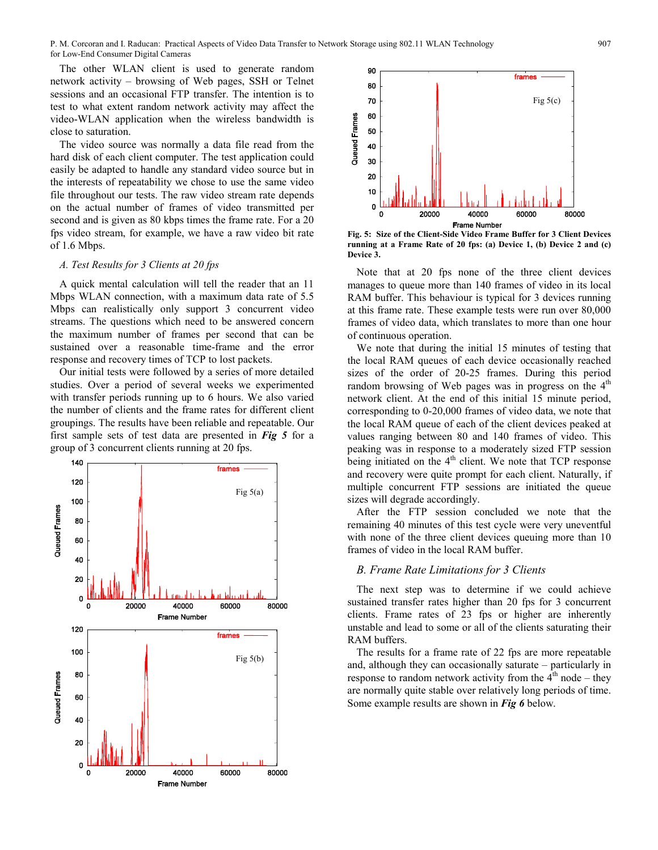The other WLAN client is used to generate random network activity – browsing of Web pages, SSH or Telnet sessions and an occasional FTP transfer. The intention is to test to what extent random network activity may affect the video-WLAN application when the wireless bandwidth is close to saturation.

The video source was normally a data file read from the hard disk of each client computer. The test application could easily be adapted to handle any standard video source but in the interests of repeatability we chose to use the same video file throughout our tests. The raw video stream rate depends on the actual number of frames of video transmitted per second and is given as 80 kbps times the frame rate. For a 20 fps video stream, for example, we have a raw video bit rate of 1.6 Mbps.

# *A. Test Results for 3 Clients at 20 fps*

A quick mental calculation will tell the reader that an 11 Mbps WLAN connection, with a maximum data rate of 5.5 Mbps can realistically only support 3 concurrent video streams. The questions which need to be answered concern the maximum number of frames per second that can be sustained over a reasonable time-frame and the error response and recovery times of TCP to lost packets.

Our initial tests were followed by a series of more detailed studies. Over a period of several weeks we experimented with transfer periods running up to 6 hours. We also varied the number of clients and the frame rates for different client groupings. The results have been reliable and repeatable. Our first sample sets of test data are presented in *Fig 5* for a group of 3 concurrent clients running at 20 fps.





**Fig. 5: Size of the Client-Side Video Frame Buffer for 3 Client Devices running at a Frame Rate of 20 fps: (a) Device 1, (b) Device 2 and (c) Device 3.** 

Note that at 20 fps none of the three client devices manages to queue more than 140 frames of video in its local RAM buffer. This behaviour is typical for 3 devices running at this frame rate. These example tests were run over 80,000 frames of video data, which translates to more than one hour of continuous operation.

We note that during the initial 15 minutes of testing that the local RAM queues of each device occasionally reached sizes of the order of 20-25 frames. During this period random browsing of Web pages was in progress on the  $4<sup>th</sup>$ network client. At the end of this initial 15 minute period, corresponding to 0-20,000 frames of video data, we note that the local RAM queue of each of the client devices peaked at values ranging between 80 and 140 frames of video. This peaking was in response to a moderately sized FTP session being initiated on the  $4<sup>th</sup>$  client. We note that TCP response and recovery were quite prompt for each client. Naturally, if multiple concurrent FTP sessions are initiated the queue sizes will degrade accordingly.

After the FTP session concluded we note that the remaining 40 minutes of this test cycle were very uneventful with none of the three client devices queuing more than 10 frames of video in the local RAM buffer.

## *B. Frame Rate Limitations for 3 Clients*

The next step was to determine if we could achieve sustained transfer rates higher than 20 fps for 3 concurrent clients. Frame rates of 23 fps or higher are inherently unstable and lead to some or all of the clients saturating their RAM buffers.

The results for a frame rate of 22 fps are more repeatable and, although they can occasionally saturate – particularly in response to random network activity from the  $4<sup>th</sup>$  node – they are normally quite stable over relatively long periods of time. Some example results are shown in *Fig 6* below.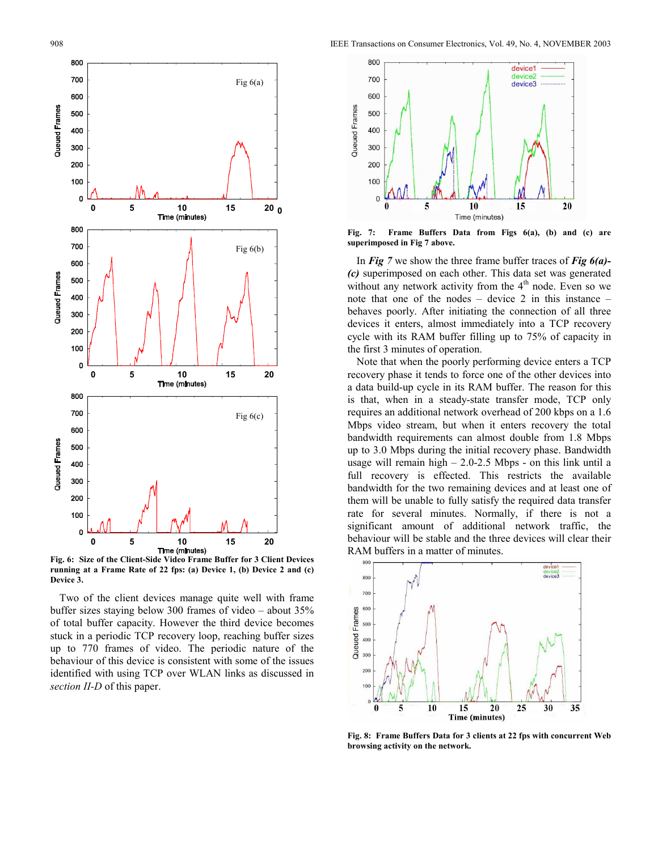

**Fig. 6: Size of the Client-Side Video Frame Buffer for 3 Client Devices running at a Frame Rate of 22 fps: (a) Device 1, (b) Device 2 and (c) Device 3.** 

Two of the client devices manage quite well with frame buffer sizes staying below 300 frames of video – about 35% of total buffer capacity. However the third device becomes stuck in a periodic TCP recovery loop, reaching buffer sizes up to 770 frames of video. The periodic nature of the behaviour of this device is consistent with some of the issues identified with using TCP over WLAN links as discussed in *section II-D* of this paper.



**Fig. 7: Frame Buffers Data from Figs 6(a), (b) and (c) are superimposed in Fig 7 above.** 

In *Fig 7* we show the three frame buffer traces of *Fig 6(a)- (c)* superimposed on each other. This data set was generated without any network activity from the  $4<sup>th</sup>$  node. Even so we note that one of the nodes – device 2 in this instance – behaves poorly. After initiating the connection of all three devices it enters, almost immediately into a TCP recovery cycle with its RAM buffer filling up to 75% of capacity in the first 3 minutes of operation.

Note that when the poorly performing device enters a TCP recovery phase it tends to force one of the other devices into a data build-up cycle in its RAM buffer. The reason for this is that, when in a steady-state transfer mode, TCP only requires an additional network overhead of 200 kbps on a 1.6 Mbps video stream, but when it enters recovery the total bandwidth requirements can almost double from 1.8 Mbps up to 3.0 Mbps during the initial recovery phase. Bandwidth usage will remain high  $- 2.0 - 2.5$  Mbps - on this link until a full recovery is effected. This restricts the available bandwidth for the two remaining devices and at least one of them will be unable to fully satisfy the required data transfer rate for several minutes. Normally, if there is not a significant amount of additional network traffic, the behaviour will be stable and the three devices will clear their RAM buffers in a matter of minutes.



**Fig. 8: Frame Buffers Data for 3 clients at 22 fps with concurrent Web browsing activity on the network.**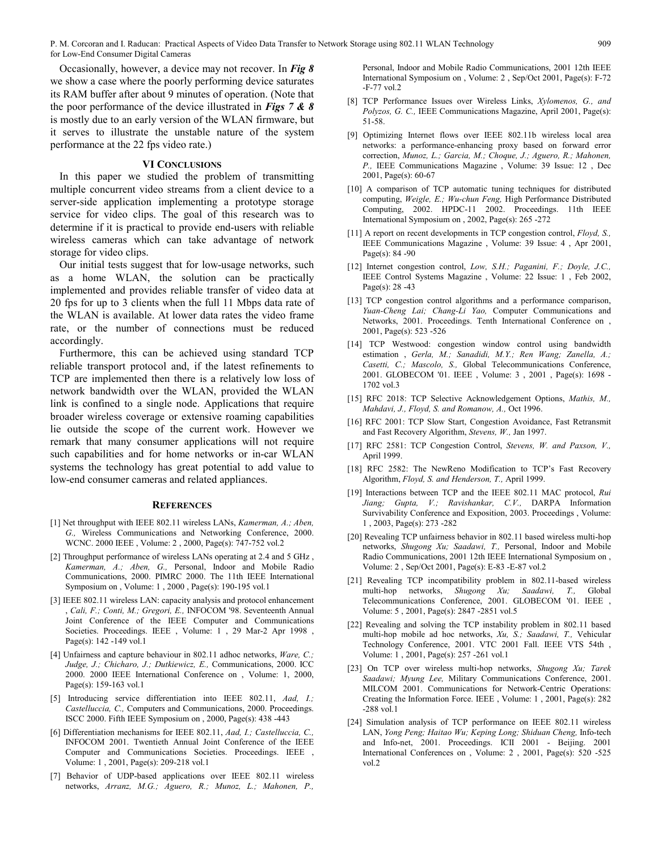Occasionally, however, a device may not recover. In *Fig 8* we show a case where the poorly performing device saturates its RAM buffer after about 9 minutes of operation. (Note that the poor performance of the device illustrated in *Figs 7 & 8* is mostly due to an early version of the WLAN firmware, but it serves to illustrate the unstable nature of the system performance at the 22 fps video rate.)

# **VI CONCLUSIONS**

In this paper we studied the problem of transmitting multiple concurrent video streams from a client device to a server-side application implementing a prototype storage service for video clips. The goal of this research was to determine if it is practical to provide end-users with reliable wireless cameras which can take advantage of network storage for video clips.

Our initial tests suggest that for low-usage networks, such as a home WLAN, the solution can be practically implemented and provides reliable transfer of video data at 20 fps for up to 3 clients when the full 11 Mbps data rate of the WLAN is available. At lower data rates the video frame rate, or the number of connections must be reduced accordingly.

Furthermore, this can be achieved using standard TCP reliable transport protocol and, if the latest refinements to TCP are implemented then there is a relatively low loss of network bandwidth over the WLAN, provided the WLAN link is confined to a single node. Applications that require broader wireless coverage or extensive roaming capabilities lie outside the scope of the current work. However we remark that many consumer applications will not require such capabilities and for home networks or in-car WLAN systems the technology has great potential to add value to low-end consumer cameras and related appliances.

#### **REFERENCES**

- [1] Net throughput with IEEE 802.11 wireless LANs, *Kamerman, A.; Aben, G.,* Wireless Communications and Networking Conference, 2000. WCNC. 2000 IEEE , Volume: 2 , 2000, Page(s): 747-752 vol.2
- [2] Throughput performance of wireless LANs operating at 2.4 and 5 GHz, *Kamerman, A.; Aben, G.,* Personal, Indoor and Mobile Radio Communications, 2000. PIMRC 2000. The 11th IEEE International Symposium on , Volume: 1 , 2000 , Page(s): 190-195 vol.1
- [3] IEEE 802.11 wireless LAN: capacity analysis and protocol enhancement , *Cali, F.; Conti, M.; Gregori, E.,* INFOCOM '98. Seventeenth Annual Joint Conference of the IEEE Computer and Communications Societies. Proceedings. IEEE , Volume: 1 , 29 Mar-2 Apr 1998 , Page(s): 142 -149 vol.1
- [4] Unfairness and capture behaviour in 802.11 adhoc networks, *Ware, C.; Judge, J.; Chicharo, J.; Dutkiewicz, E.,* Communications, 2000. ICC 2000. 2000 IEEE International Conference on , Volume: 1, 2000, Page(s): 159-163 vol.1
- [5] Introducing service differentiation into IEEE 802.11, *Aad, I.; Castelluccia, C.,* Computers and Communications, 2000. Proceedings. ISCC 2000. Fifth IEEE Symposium on , 2000, Page(s): 438 -443
- [6] Differentiation mechanisms for IEEE 802.11, *Aad, I.; Castelluccia, C.,*  INFOCOM 2001. Twentieth Annual Joint Conference of the IEEE Computer and Communications Societies. Proceedings. IEEE , Volume: 1 , 2001, Page(s): 209-218 vol.1
- [7] Behavior of UDP-based applications over IEEE 802.11 wireless networks, *Arranz, M.G.; Aguero, R.; Munoz, L.; Mahonen, P.,*

Personal, Indoor and Mobile Radio Communications, 2001 12th IEEE International Symposium on , Volume: 2 , Sep/Oct 2001, Page(s): F-72 -F-77 vol.2

- [8] TCP Performance Issues over Wireless Links, *Xylomenos, G., and Polyzos, G. C.,* IEEE Communications Magazine, April 2001, Page(s): 51-58.
- [9] Optimizing Internet flows over IEEE 802.11b wireless local area networks: a performance-enhancing proxy based on forward error correction, *Munoz, L.; Garcia, M.; Choque, J.; Aguero, R.; Mahonen, P.,* IEEE Communications Magazine , Volume: 39 Issue: 12 , Dec 2001, Page(s): 60-67
- [10] A comparison of TCP automatic tuning techniques for distributed computing, *Weigle, E.; Wu-chun Feng,* High Performance Distributed Computing, 2002. HPDC-11 2002. Proceedings. 11th IEEE International Symposium on , 2002, Page(s): 265 -272
- [11] A report on recent developments in TCP congestion control, *Floyd*, *S.*, IEEE Communications Magazine , Volume: 39 Issue: 4 , Apr 2001, Page(s): 84 -90
- [12] Internet congestion control, *Low, S.H.; Paganini, F.; Doyle, J.C.,*  IEEE Control Systems Magazine , Volume: 22 Issue: 1 , Feb 2002, Page(s): 28 -43
- [13] TCP congestion control algorithms and a performance comparison, *Yuan-Cheng Lai; Chang-Li Yao,* Computer Communications and Networks, 2001. Proceedings. Tenth International Conference on , 2001, Page(s): 523 -526
- [14] TCP Westwood: congestion window control using bandwidth estimation , *Gerla, M.; Sanadidi, M.Y.; Ren Wang; Zanella, A.; Casetti, C.; Mascolo, S.,* Global Telecommunications Conference, 2001. GLOBECOM '01. IEEE , Volume: 3 , 2001 , Page(s): 1698 - 1702 vol.3
- [15] RFC 2018: TCP Selective Acknowledgement Options, *Mathis, M., Mahdavi, J., Floyd, S. and Romanow, A.,* Oct 1996.
- [16] RFC 2001: TCP Slow Start, Congestion Avoidance, Fast Retransmit and Fast Recovery Algorithm, *Stevens, W.,* Jan 1997.
- [17] RFC 2581: TCP Congestion Control, *Stevens, W. and Paxson, V.*, April 1999.
- [18] RFC 2582: The NewReno Modification to TCP's Fast Recovery Algorithm, *Floyd, S. and Henderson, T.,* April 1999.
- [19] Interactions between TCP and the IEEE 802.11 MAC protocol, *Rui Jiang; Gupta, V.; Ravishankar, C.V.,* DARPA Information Survivability Conference and Exposition, 2003. Proceedings , Volume: 1 , 2003, Page(s): 273 -282
- [20] Revealing TCP unfairness behavior in 802.11 based wireless multi-hop networks, *Shugong Xu; Saadawi, T.,* Personal, Indoor and Mobile Radio Communications, 2001 12th IEEE International Symposium on , Volume: 2 , Sep/Oct 2001, Page(s): E-83 -E-87 vol.2
- [21] Revealing TCP incompatibility problem in 802.11-based wireless multi-hop networks, *Shugong Xu; Saadawi, T.,* Global Telecommunications Conference, 2001. GLOBECOM '01. IEEE , Volume: 5 , 2001, Page(s): 2847 -2851 vol.5
- [22] Revealing and solving the TCP instability problem in 802.11 based multi-hop mobile ad hoc networks, *Xu, S.; Saadawi, T.,* Vehicular Technology Conference, 2001. VTC 2001 Fall. IEEE VTS 54th , Volume: 1 , 2001, Page(s): 257 -261 vol.1
- [23] On TCP over wireless multi-hop networks, *Shugong Xu; Tarek Saadawi; Myung Lee,* Military Communications Conference, 2001. MILCOM 2001. Communications for Network-Centric Operations: Creating the Information Force. IEEE , Volume: 1 , 2001, Page(s): 282 -288 vol.1
- [24] Simulation analysis of TCP performance on IEEE 802.11 wireless LAN, *Yong Peng; Haitao Wu; Keping Long; Shiduan Cheng,* Info-tech and Info-net, 2001. Proceedings. ICII 2001 - Beijing. 2001 International Conferences on , Volume: 2 , 2001, Page(s): 520 -525 vol.2